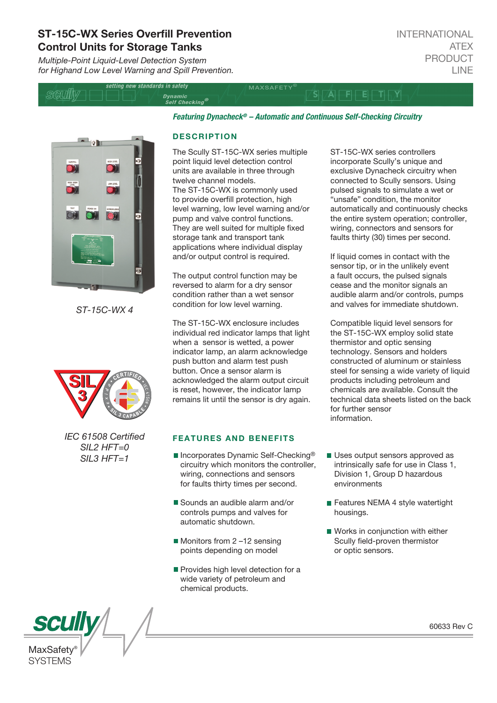# ST-15C-WX Series Overfill Prevention Control Units for Storage Tanks

*Multiple-Point Liquid-Level Detection System for Highand Low Level Warning and Spill Prevention.*

| setting new standards in safety |                                                 | <b>MAXSAFFTY</b> |  |
|---------------------------------|-------------------------------------------------|------------------|--|
|                                 | <i>Dynamic</i><br>$S$ elf Checking <sup>®</sup> |                  |  |
|                                 |                                                 |                  |  |

*Featuring Dynacheck® – Automatic and Continuous Self-Checking Circuitry* 



*ST-15C-WX 4*



*IEC 61508 Certied SIL2 HFT=0 SIL3 HFT=1*

#### **DESCRIPTION**

The Scully ST-15C-WX series multiple point liquid level detection control units are available in three through twelve channel models. The ST-15C-WX is commonly used to provide overfill protection, high level warning, low level warning and/or pump and valve control functions. They are well suited for multiple fixed storage tank and transport tank applications where individual display and/or output control is required.

The output control function may be reversed to alarm for a dry sensor condition rather than a wet sensor condition for low level warning.

The ST-15C-WX enclosure includes individual red indicator lamps that light when a sensor is wetted, a power indicator lamp, an alarm acknowledge push button and alarm test push button. Once a sensor alarm is acknowledged the alarm output circuit is reset, however, the indicator lamp remains lit until the sensor is dry again.

### FEATURES AND BENEFITS

- Incorporates Dynamic Self-Checking<sup>®</sup> circuitry which monitors the controller, wiring, connections and sensors for faults thirty times per second.
- Sounds an audible alarm and/or controls pumps and valves for automatic shutdown.
- Monitors from 2-12 sensing points depending on model
- Provides high level detection for a wide variety of petroleum and chemical products.

ST-15C-WX series controllers incorporate Scully's unique and exclusive Dynacheck circuitry when connected to Scully sensors. Using pulsed signals to simulate a wet or "unsafe" condition, the monitor automatically and continuously checks the entire system operation; controller, wiring, connectors and sensors for faults thirty (30) times per second.

If liquid comes in contact with the sensor tip, or in the unlikely event a fault occurs, the pulsed signals cease and the monitor signals an audible alarm and/or controls, pumps and valves for immediate shutdown.

Compatible liquid level sensors for the ST-15C-WX employ solid state thermistor and optic sensing technology. Sensors and holders constructed of aluminum or stainless steel for sensing a wide variety of liquid products including petroleum and chemicals are available. Consult the technical data sheets listed on the back for further sensor information.

- Uses output sensors approved as intrinsically safe for use in Class 1, Division 1, Group D hazardous environments
- Features NEMA 4 style watertight housings.
- Works in conjunction with either Scully field-proven thermistor or optic sensors.

60633 Rev C